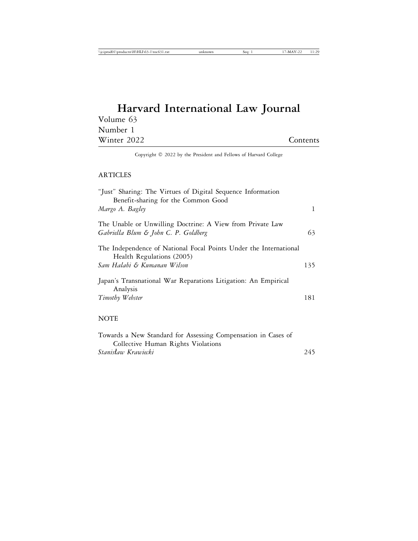## **Harvard International Law Journal** Volume 63 Number 1 Winter 2022 Contents

Copyright © 2022 by the President and Fellows of Harvard College

### ARTICLES

| "Just" Sharing: The Virtues of Digital Sequence Information                                                                   |     |
|-------------------------------------------------------------------------------------------------------------------------------|-----|
| Benefit-sharing for the Common Good<br>Margo A. Bagley                                                                        | 1   |
| The Unable or Unwilling Doctrine: A View from Private Law<br>Gabriella Blum & John C. P. Goldberg                             | 63  |
| The Independence of National Focal Points Under the International<br>Health Regulations (2005)<br>Sam Halabi & Kumanan Wilson | 135 |
| Japan's Transnational War Reparations Litigation: An Empirical<br>Analysis<br>Timothy Webster                                 | 181 |
| <b>NOTE</b>                                                                                                                   |     |

| Towards a New Standard for Assessing Compensation in Cases of |     |
|---------------------------------------------------------------|-----|
| Collective Human Rights Violations                            |     |
| Stanisław Krawiecki                                           | 245 |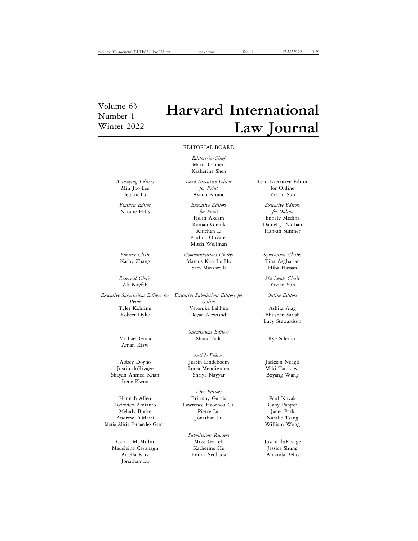# Volume 63 **Harvard International** Winter 2022 **Law Journal**

#### EDITORIAL BOARD

*Editors-in-Chief* Marta Canneri Katherine Shen

*External Chair She Leads Chair* Ali Nayfeh

Robert Dyke Deyaa Alrwishdi

Aman Rizvi

Shayan Ahmed Khan Shriya Nayyar Irene Kwon

Maria Alicia Fernandez Garcia William Wong

Carina McMillin Mike Gorrell Justin duRivage Madeleine Cavanagh Jonathan Lu

Min Joo Lee *for Print* for Online<br>
In the *for Print* for Online<br>
In the *for Print* for Online<br> *for Print* for *Sinney* Jessica Lu Ayano Kitano

Natalie Hills *for Print for Online* Paulina Olivares Mitch Wellman

*Finance Chair Communications Chairs Symposium Chairs* Kathy Zhang Marcus Kan Jie Ho Tina Asgharian<br>Sam Mazzarelli Miba Hassan Sam Mazzarelli

*Executive Submissions Editors for Executive Submissions Editors for Online Editors Print Online* Tyler Kohring Veronika Lakhno Ashita Alag

*Submissions Editors* Michael Gioia Shota Toda Rye Salerno

*Article Editors* Abbey Doyno Justin Lindeboom Jackson Neagli Justin duRivage Lorea Mendiguren Miki Tanikawa

*Line Editors* Hannah Allen Brittany Garcia Paul Novak Lawrence Haozhou Gu Melody Burke Pierce Lai Janet Park Andrew DiMaiti **Jonathan Lu** Jonathan Lu Natalie Tsang

*Submissions Readers* Ariella Katz Emma Svoboda Amanda Bello

*Managing Editors Lead Executive Editor* Lead Executive Editor

*Features Editor Executive Editors Executive Editors* Helin Akcam Ennely Medina Daniel J. Nathan Xinchen Li Han-ah Sumner

Lucy Stewardson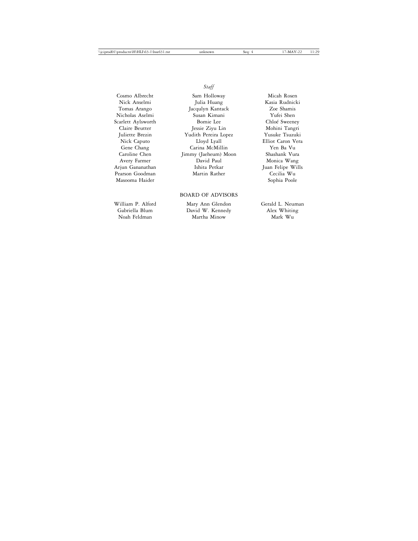*Staff*

Pearson Goodman Martin Rather Cecilia Wu<br>Masooma Haider Sophia Poole Masooma Haider

Cosmo Albrecht Sam Holloway Micah Rosen Julia Huang Tomas Arango Jacqulyn Kantack Zoe Shamis Nicholas Aselmi Susan Kimani Yufei Shen Scarlett Aylsworth Bomie Lee Chlo´e Sweeney Jessie Ziyu Lin Juliette Brezin Yudith Pereira Lopez Yusuke Tsuzuki Nick Caputo Lloyd Lyall Elliot Caron Vera Carina McMillin Caroline Chen Jimmy (Jaeheum) Moon Shashank Vura Avery Farmer David Paul Monica Wang Arjun Gananathan Ishita Petkar Juan Felipe Wills

### BOARD OF ADVISORS

William P. Alford Mary Ann Glendon Gerald L. Neuman Gabriella Blum David W. Kennedy Alex Whiting Martha Minow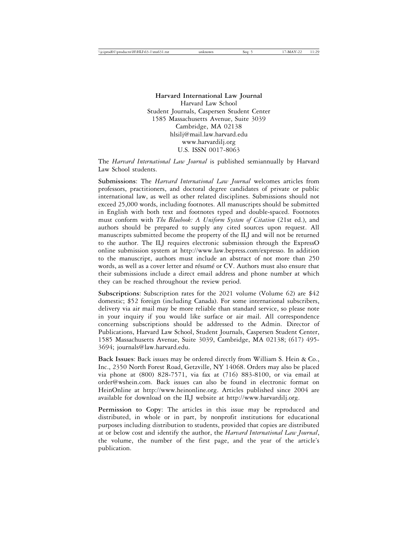**Harvard International Law Journal** Harvard Law School Student Journals, Caspersen Student Center 1585 Massachusetts Avenue, Suite 3039 Cambridge, MA 02138 hlsilj@mail.law.harvard.edu www.harvardilj.org U.S. ISSN 0017-8063

The *Harvard International Law Journal* is published semiannually by Harvard Law School students.

**Submissions**: The *Harvard International Law Journal* welcomes articles from professors, practitioners, and doctoral degree candidates of private or public international law, as well as other related disciplines. Submissions should not exceed 25,000 words, including footnotes. All manuscripts should be submitted in English with both text and footnotes typed and double-spaced. Footnotes must conform with *The Bluebook: A Uniform System of Citation* (21st ed.), and authors should be prepared to supply any cited sources upon request. All manuscripts submitted become the property of the ILJ and will not be returned to the author. The ILJ requires electronic submission through the ExpressO online submission system at http://www.law.bepress.com/expresso. In addition to the manuscript, authors must include an abstract of not more than 250 words, as well as a cover letter and résumé or CV. Authors must also ensure that their submissions include a direct email address and phone number at which they can be reached throughout the review period.

**Subscriptions**: Subscription rates for the 2021 volume (Volume 62) are \$42 domestic; \$52 foreign (including Canada). For some international subscribers, delivery via air mail may be more reliable than standard service, so please note in your inquiry if you would like surface or air mail. All correspondence concerning subscriptions should be addressed to the Admin. Director of Publications, Harvard Law School, Student Journals, Caspersen Student Center, 1585 Massachusetts Avenue, Suite 3039, Cambridge, MA 02138; (617) 495- 3694; journals@law.harvard.edu.

**Back Issues**: Back issues may be ordered directly from William S. Hein & Co., Inc., 2350 North Forest Road, Getzville, NY 14068. Orders may also be placed via phone at (800) 828-7571, via fax at (716) 883-8100, or via email at order@wshein.com. Back issues can also be found in electronic format on HeinOnline at http://www.heinonline.org. Articles published since 2004 are available for download on the ILJ website at http://www.harvardilj.org.

**Permission to Copy**: The articles in this issue may be reproduced and distributed, in whole or in part, by nonprofit institutions for educational purposes including distribution to students, provided that copies are distributed at or below cost and identify the author, the *Harvard International Law Journal*, the volume, the number of the first page, and the year of the article's publication.